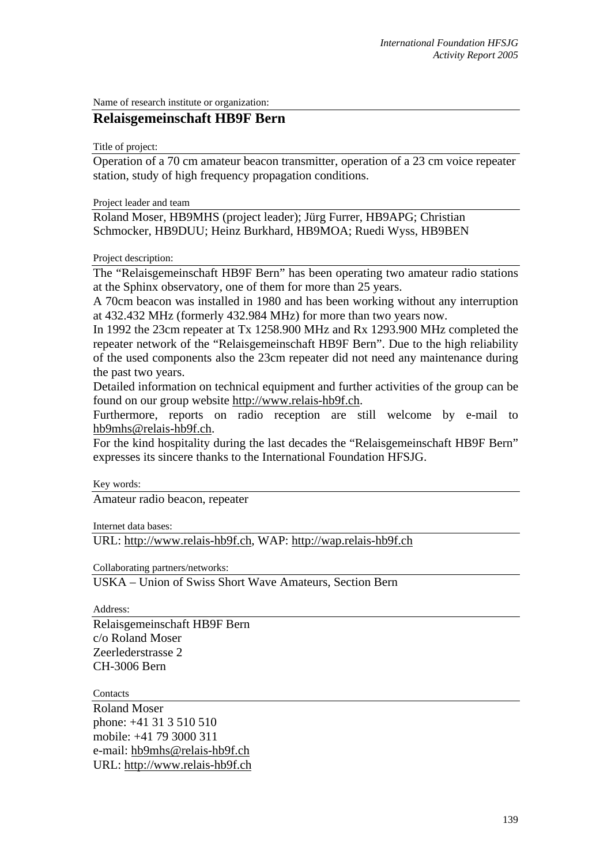Name of research institute or organization:

## **Relaisgemeinschaft HB9F Bern**

Title of project:

Operation of a 70 cm amateur beacon transmitter, operation of a 23 cm voice repeater station, study of high frequency propagation conditions.

Project leader and team

Roland Moser, HB9MHS (project leader); Jürg Furrer, HB9APG; Christian Schmocker, HB9DUU; Heinz Burkhard, HB9MOA; Ruedi Wyss, HB9BEN

Project description:

The "Relaisgemeinschaft HB9F Bern" has been operating two amateur radio stations at the Sphinx observatory, one of them for more than 25 years.

A 70cm beacon was installed in 1980 and has been working without any interruption at 432.432 MHz (formerly 432.984 MHz) for more than two years now.

In 1992 the 23cm repeater at Tx 1258.900 MHz and Rx 1293.900 MHz completed the repeater network of the "Relaisgemeinschaft HB9F Bern". Due to the high reliability of the used components also the 23cm repeater did not need any maintenance during the past two years.

Detailed information on technical equipment and further activities of the group can be found on our group website http://www.relais-hb9f.ch.

Furthermore, reports on radio reception are still welcome by e-mail to hb9mhs@relais-hb9f.ch.

For the kind hospitality during the last decades the "Relaisgemeinschaft HB9F Bern" expresses its sincere thanks to the International Foundation HFSJG.

Key words:

Amateur radio beacon, repeater

Internet data bases:

URL: http://www.relais-hb9f.ch, WAP: http://wap.relais-hb9f.ch

Collaborating partners/networks:

USKA – Union of Swiss Short Wave Amateurs, Section Bern

Address:

Relaisgemeinschaft HB9F Bern c/o Roland Moser Zeerlederstrasse 2 CH-3006 Bern

**Contacts** 

Roland Moser phone: +41 31 3 510 510 mobile: +41 79 3000 311 e-mail: hb9mhs@relais-hb9f.ch URL: http://www.relais-hb9f.ch